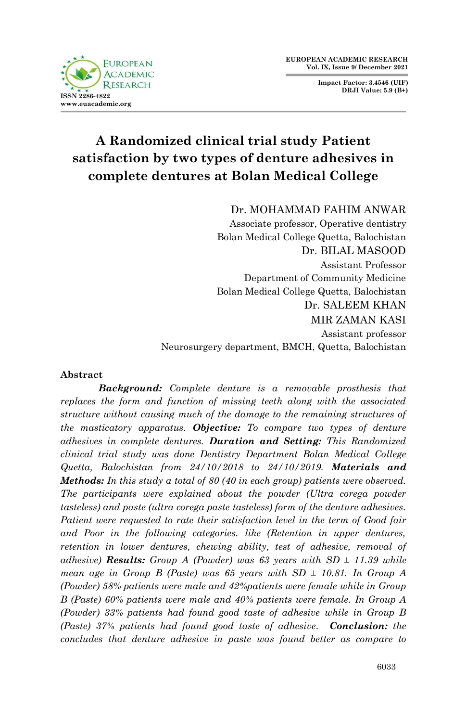

**Impact Factor: 3.4546 (UIF) DRJI Value: 5.9 (B+)**

# **A Randomized clinical trial study Patient satisfaction by two types of denture adhesives in complete dentures at Bolan Medical College**

Dr. MOHAMMAD FAHIM ANWAR

Associate professor, Operative dentistry Bolan Medical College Quetta, Balochistan Dr. BILAL MASOOD Assistant Professor Department of Community Medicine Bolan Medical College Quetta, Balochistan Dr. SALEEM KHAN MIR ZAMAN KASI Assistant professor Neurosurgery department, BMCH, Quetta, Balochistan

## **Abstract**

*Background: Complete denture is a removable prosthesis that replaces the form and function of missing teeth along with the associated structure without causing much of the damage to the remaining structures of the masticatory apparatus. Objective: To compare two types of denture adhesives in complete dentures. Duration and Setting: This Randomized clinical trial study was done Dentistry Department Bolan Medical College Quetta, Balochistan from 24/10/2018 to 24/10/2019. Materials and Methods: In this study a total of 80 (40 in each group) patients were observed. The participants were explained about the powder (Ultra corega powder tasteless) and paste (ultra corega paste tasteless) form of the denture adhesives. Patient were requested to rate their satisfaction level in the term of Good fair and Poor in the following categories. like (Retention in upper dentures, retention in lower dentures, chewing ability, test of adhesive, removal of adhesive*) **Results:** Group A (Powder) was 63 years with  $SD \pm 11.39$  while *mean age in Group B (Paste) was 65 years with SD ± 10.81. In Group A (Powder) 58% patients were male and 42%patients were female while in Group B (Paste) 60% patients were male and 40% patients were female. In Group A (Powder) 33% patients had found good taste of adhesive while in Group B (Paste) 37% patients had found good taste of adhesive. Conclusion: the concludes that denture adhesive in paste was found better as compare to*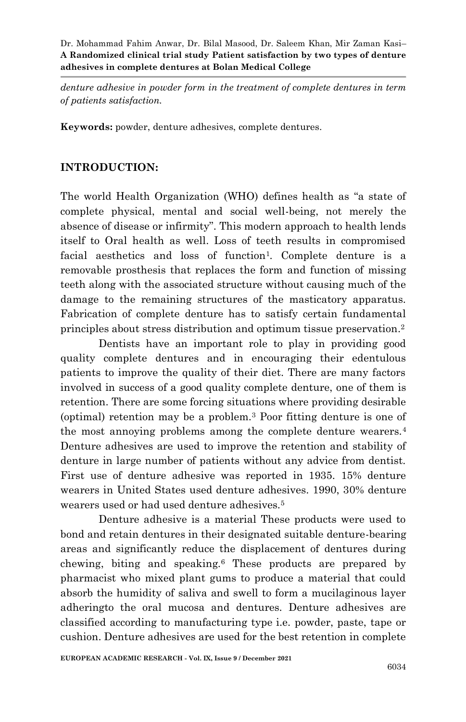*denture adhesive in powder form in the treatment of complete dentures in term of patients satisfaction.*

**Keywords:** powder, denture adhesives, complete dentures.

# **INTRODUCTION:**

The world Health Organization (WHO) defines health as "a state of complete physical, mental and social well-being, not merely the absence of disease or infirmity". This modern approach to health lends itself to Oral health as well. Loss of teeth results in compromised facial aesthetics and loss of function<sup>1</sup>. Complete denture is a removable prosthesis that replaces the form and function of missing teeth along with the associated structure without causing much of the damage to the remaining structures of the masticatory apparatus. Fabrication of complete denture has to satisfy certain fundamental principles about stress distribution and optimum tissue preservation. 2

Dentists have an important role to play in providing good quality complete dentures and in encouraging their edentulous patients to improve the quality of their diet. There are many factors involved in success of a good quality complete denture, one of them is retention. There are some forcing situations where providing desirable (optimal) retention may be a problem.<sup>3</sup> Poor fitting denture is one of the most annoying problems among the complete denture wearers.<sup>4</sup> Denture adhesives are used to improve the retention and stability of denture in large number of patients without any advice from dentist. First use of denture adhesive was reported in 1935. 15% denture wearers in United States used denture adhesives. 1990, 30% denture wearers used or had used denture adhesives.<sup>5</sup>

Denture adhesive is a material These products were used to bond and retain dentures in their designated suitable denture-bearing areas and significantly reduce the displacement of dentures during chewing, biting and speaking.<sup>6</sup> These products are prepared by pharmacist who mixed plant gums to produce a material that could absorb the humidity of saliva and swell to form a mucilaginous layer adheringto the oral mucosa and dentures. Denture adhesives are classified according to manufacturing type i.e. powder, paste, tape or cushion. Denture adhesives are used for the best retention in complete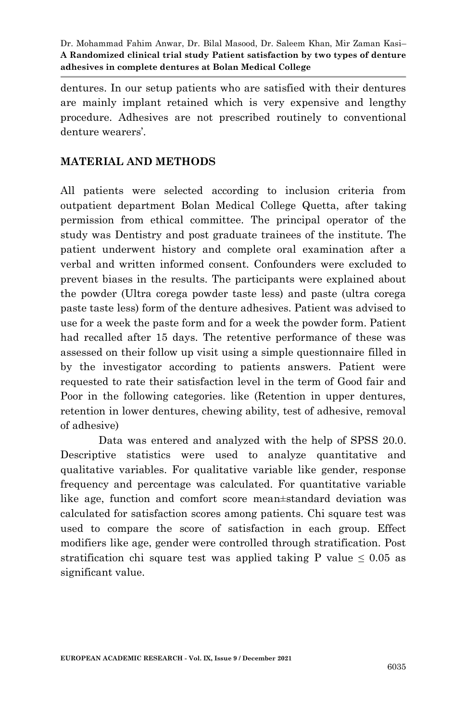dentures. In our setup patients who are satisfied with their dentures are mainly implant retained which is very expensive and lengthy procedure. Adhesives are not prescribed routinely to conventional denture wearers'.

# **MATERIAL AND METHODS**

All patients were selected according to inclusion criteria from outpatient department Bolan Medical College Quetta, after taking permission from ethical committee. The principal operator of the study was Dentistry and post graduate trainees of the institute. The patient underwent history and complete oral examination after a verbal and written informed consent. Confounders were excluded to prevent biases in the results. The participants were explained about the powder (Ultra corega powder taste less) and paste (ultra corega paste taste less) form of the denture adhesives. Patient was advised to use for a week the paste form and for a week the powder form. Patient had recalled after 15 days. The retentive performance of these was assessed on their follow up visit using a simple questionnaire filled in by the investigator according to patients answers. Patient were requested to rate their satisfaction level in the term of Good fair and Poor in the following categories. like (Retention in upper dentures, retention in lower dentures, chewing ability, test of adhesive, removal of adhesive)

Data was entered and analyzed with the help of SPSS 20.0. Descriptive statistics were used to analyze quantitative and qualitative variables. For qualitative variable like gender, response frequency and percentage was calculated. For quantitative variable like age, function and comfort score mean±standard deviation was calculated for satisfaction scores among patients. Chi square test was used to compare the score of satisfaction in each group. Effect modifiers like age, gender were controlled through stratification. Post stratification chi square test was applied taking P value  $\leq 0.05$  as significant value.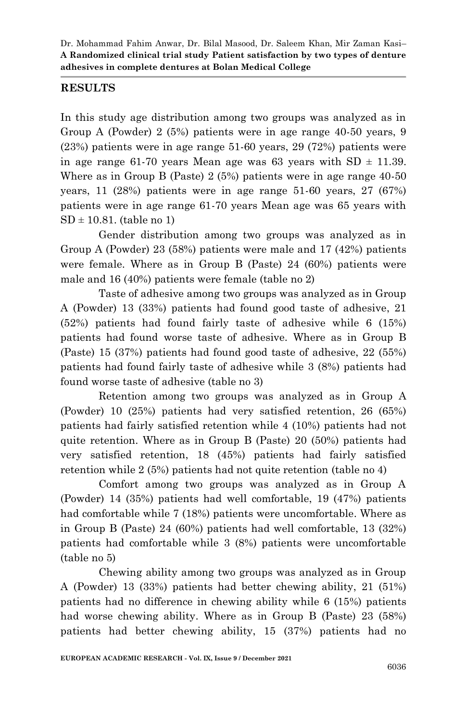## **RESULTS**

In this study age distribution among two groups was analyzed as in Group A (Powder) 2 (5%) patients were in age range 40-50 years, 9 (23%) patients were in age range 51-60 years, 29 (72%) patients were in age range 61-70 years Mean age was 63 years with  $SD \pm 11.39$ . Where as in Group B (Paste) 2 (5%) patients were in age range 40-50 years, 11 (28%) patients were in age range 51-60 years, 27 (67%) patients were in age range 61-70 years Mean age was 65 years with  $SD \pm 10.81$ . (table no 1)

Gender distribution among two groups was analyzed as in Group A (Powder) 23 (58%) patients were male and 17 (42%) patients were female. Where as in Group B (Paste) 24 (60%) patients were male and 16 (40%) patients were female (table no 2)

Taste of adhesive among two groups was analyzed as in Group A (Powder) 13 (33%) patients had found good taste of adhesive, 21 (52%) patients had found fairly taste of adhesive while 6 (15%) patients had found worse taste of adhesive. Where as in Group B (Paste) 15 (37%) patients had found good taste of adhesive, 22 (55%) patients had found fairly taste of adhesive while 3 (8%) patients had found worse taste of adhesive (table no 3)

Retention among two groups was analyzed as in Group A (Powder) 10 (25%) patients had very satisfied retention, 26 (65%) patients had fairly satisfied retention while 4 (10%) patients had not quite retention. Where as in Group B (Paste) 20 (50%) patients had very satisfied retention, 18 (45%) patients had fairly satisfied retention while 2 (5%) patients had not quite retention (table no 4)

Comfort among two groups was analyzed as in Group A (Powder) 14 (35%) patients had well comfortable, 19 (47%) patients had comfortable while 7 (18%) patients were uncomfortable. Where as in Group B (Paste) 24 (60%) patients had well comfortable, 13 (32%) patients had comfortable while 3 (8%) patients were uncomfortable (table no 5)

Chewing ability among two groups was analyzed as in Group A (Powder) 13 (33%) patients had better chewing ability, 21 (51%) patients had no difference in chewing ability while 6 (15%) patients had worse chewing ability. Where as in Group B (Paste) 23 (58%) patients had better chewing ability, 15 (37%) patients had no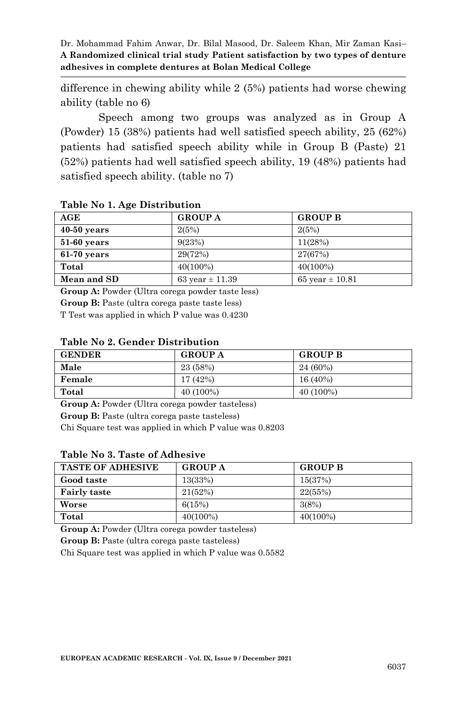difference in chewing ability while 2 (5%) patients had worse chewing ability (table no 6)

Speech among two groups was analyzed as in Group A (Powder) 15 (38%) patients had well satisfied speech ability, 25 (62%) patients had satisfied speech ability while in Group B (Paste) 21 (52%) patients had well satisfied speech ability, 19 (48%) patients had satisfied speech ability. (table no 7)

| AGE           | <b>GROUP A</b>      | <b>GROUP B</b>      |
|---------------|---------------------|---------------------|
| $40-50$ years | 2(5%)               | 2(5%)               |
| $51-60$ years | 9(23%)              | 11(28%)             |
| $61-70$ years | 29(72%)             | 27(67%)             |
| Total         | $40(100\%)$         | $40(100\%)$         |
| Mean and SD   | 63 year $\pm$ 11.39 | 65 year $\pm$ 10.81 |

#### **Table No 1. Age Distribution**

**Group A:** Powder (Ultra corega powder taste less)

**Group B:** Paste (ultra corega paste taste less)

T Test was applied in which P value was 0.4230

### **Table No 2. Gender Distribution**

| <b>GENDER</b> | <b>GROUP A</b> | <b>GROUP B</b> |
|---------------|----------------|----------------|
| Male          | 23 (58%)       | 24 (60%)       |
| Female        | 17 (42%)       | 16 (40%)       |
| Total         | 40 (100%)      | 40 (100%)      |

**Group A:** Powder (Ultra corega powder tasteless)

**Group B:** Paste (ultra corega paste tasteless)

Chi Square test was applied in which P value was 0.8203

#### **Table No 3. Taste of Adhesive**

| <b>TASTE OF ADHESIVE</b> | <b>GROUP A</b> | <b>GROUP B</b> |
|--------------------------|----------------|----------------|
| Good taste               | 13(33%)        | 15(37%)        |
| <b>Fairly taste</b>      | 21(52%)        | 22(55%)        |
| Worse                    | 6(15%)         | 3(8%)          |
| Total                    | $40(100\%)$    | $40(100\%)$    |

**Group A:** Powder (Ultra corega powder tasteless)

**Group B:** Paste (ultra corega paste tasteless)

Chi Square test was applied in which P value was 0.5582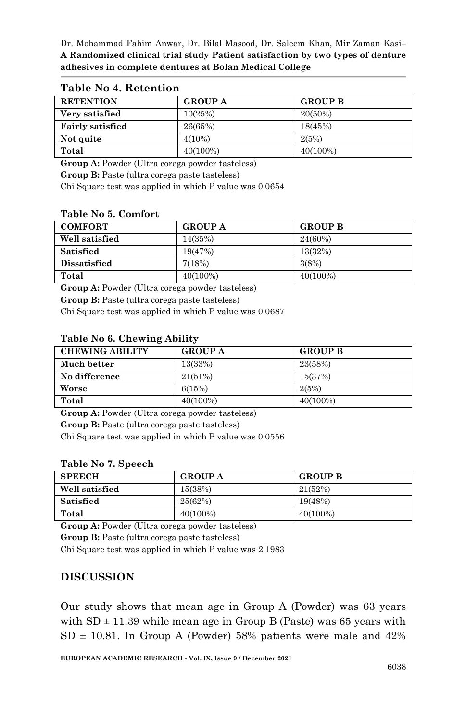| <b>RETENTION</b>        | <b>GROUP A</b> | <b>GROUP B</b> |
|-------------------------|----------------|----------------|
| Very satisfied          | 10(25%)        | 20(50%)        |
| <b>Fairly satisfied</b> | 26(65%)        | 18(45%)        |
| Not quite               | 4(10%)         | 2(5%)          |
| Total                   | $40(100\%)$    | $40(100\%)$    |

## **Table No 4. Retention**

**Group A:** Powder (Ultra corega powder tasteless)

**Group B:** Paste (ultra corega paste tasteless)

Chi Square test was applied in which P value was 0.0654

### **Table No 5. Comfort**

| <b>COMFORT</b>      | <b>GROUP A</b> | <b>GROUP B</b> |
|---------------------|----------------|----------------|
| Well satisfied      | 14(35%)        | 24(60%)        |
| <b>Satisfied</b>    | 19(47%)        | 13(32%)        |
| <b>Dissatisfied</b> | 7(18%)         | 3(8%)          |
| Total               | $40(100\%)$    | $40(100\%)$    |

**Group A:** Powder (Ultra corega powder tasteless)

**Group B:** Paste (ultra corega paste tasteless)

Chi Square test was applied in which P value was 0.0687

## **Table No 6. Chewing Ability**

| <b>CHEWING ABILITY</b> | <b>GROUP A</b> | <b>GROUP B</b> |
|------------------------|----------------|----------------|
| Much better            | 13(33%)        | 23(58%)        |
| No difference          | 21(51%)        | 15(37%)        |
| Worse                  | 6(15%)         | 2(5%)          |
| Total                  | $40(100\%)$    | $40(100\%)$    |

**Group A:** Powder (Ultra corega powder tasteless)

**Group B:** Paste (ultra corega paste tasteless)

Chi Square test was applied in which P value was 0.0556

#### **Table No 7. Speech**

| <b>SPEECH</b>  | <b>GROUP A</b> | <b>GROUP B</b> |
|----------------|----------------|----------------|
| Well satisfied | 15(38%)        | 21(52%)        |
| Satisfied      | 25(62%)        | 19(48%)        |
| Total          | 40(100%)       | $40(100\%)$    |

**Group A:** Powder (Ultra corega powder tasteless)

**Group B:** Paste (ultra corega paste tasteless)

Chi Square test was applied in which P value was 2.1983

# **DISCUSSION**

Our study shows that mean age in Group A (Powder) was 63 years with  $SD \pm 11.39$  while mean age in Group B (Paste) was 65 years with  $SD \pm 10.81$ . In Group A (Powder) 58% patients were male and 42%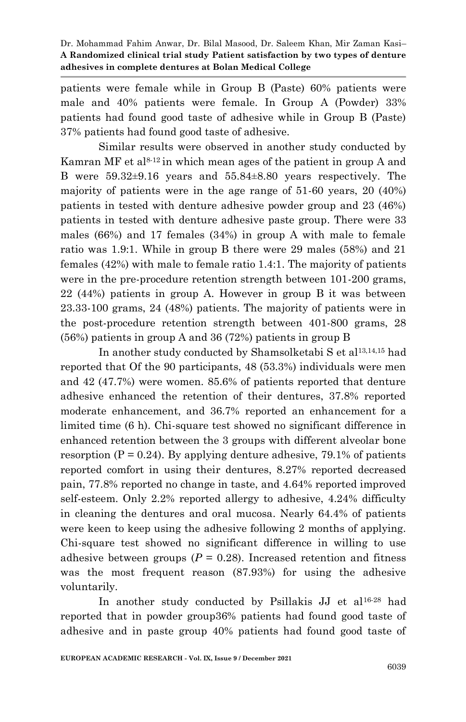patients were female while in Group B (Paste) 60% patients were male and 40% patients were female. In Group A (Powder) 33% patients had found good taste of adhesive while in Group B (Paste) 37% patients had found good taste of adhesive.

Similar results were observed in another study conducted by Kamran MF et al<sup>8-12</sup> in which mean ages of the patient in group A and B were 59.32±9.16 years and 55.84±8.80 years respectively. The majority of patients were in the age range of 51-60 years, 20 (40%) patients in tested with denture adhesive powder group and 23 (46%) patients in tested with denture adhesive paste group. There were 33 males (66%) and 17 females (34%) in group A with male to female ratio was 1.9:1. While in group B there were 29 males (58%) and 21 females (42%) with male to female ratio 1.4:1. The majority of patients were in the pre-procedure retention strength between 101-200 grams, 22 (44%) patients in group A. However in group B it was between 23.33-100 grams, 24 (48%) patients. The majority of patients were in the post-procedure retention strength between 401-800 grams, 28 (56%) patients in group A and 36 (72%) patients in group B

In another study conducted by Shamsolketabi S et al13,14,15 had reported that Of the 90 participants, 48 (53.3%) individuals were men and 42 (47.7%) were women. 85.6% of patients reported that denture adhesive enhanced the retention of their dentures, 37.8% reported moderate enhancement, and 36.7% reported an enhancement for a limited time (6 h). Chi-square test showed no significant difference in enhanced retention between the 3 groups with different alveolar bone resorption ( $P = 0.24$ ). By applying denture adhesive, 79.1% of patients reported comfort in using their dentures, 8.27% reported decreased pain, 77.8% reported no change in taste, and 4.64% reported improved self-esteem. Only 2.2% reported allergy to adhesive, 4.24% difficulty in cleaning the dentures and oral mucosa. Nearly 64.4% of patients were keen to keep using the adhesive following 2 months of applying. Chi-square test showed no significant difference in willing to use adhesive between groups  $(P = 0.28)$ . Increased retention and fitness was the most frequent reason (87.93%) for using the adhesive voluntarily.

In another study conducted by Psillakis JJ et al16-28 had reported that in powder group36% patients had found good taste of adhesive and in paste group 40% patients had found good taste of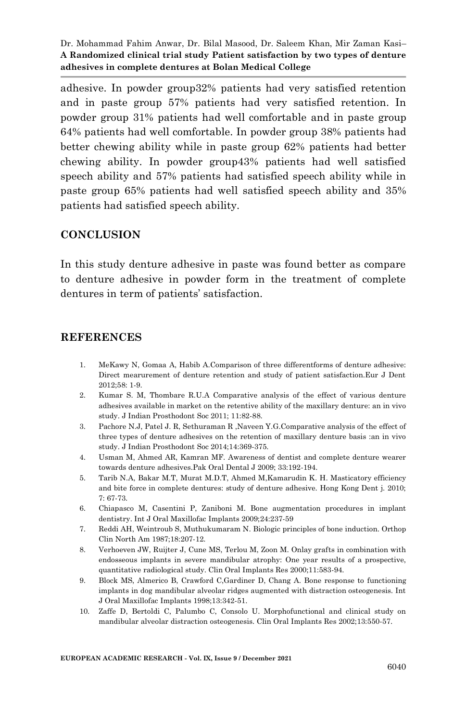adhesive. In powder group32% patients had very satisfied retention and in paste group 57% patients had very satisfied retention. In powder group 31% patients had well comfortable and in paste group 64% patients had well comfortable. In powder group 38% patients had better chewing ability while in paste group 62% patients had better chewing ability. In powder group43% patients had well satisfied speech ability and 57% patients had satisfied speech ability while in paste group 65% patients had well satisfied speech ability and 35% patients had satisfied speech ability.

# **CONCLUSION**

In this study denture adhesive in paste was found better as compare to denture adhesive in powder form in the treatment of complete dentures in term of patients' satisfaction.

## **REFERENCES**

- 1. MeKawy N, Gomaa A, Habib A.Comparison of three differentforms of denture adhesive: Direct mearurement of denture retention and study of patient satisfaction.Eur J Dent 2012;58: 1-9.
- 2. Kumar S. M, Thombare R.U.A Comparative analysis of the effect of various denture adhesives available in market on the retentive ability of the maxillary denture: an in vivo study. J Indian Prosthodont Soc 2011; 11:82-88.
- 3. Pachore N.J, Patel J. R, Sethuraman R ,Naveen Y.G.Comparative analysis of the effect of three types of denture adhesives on the retention of maxillary denture basis :an in vivo study. J Indian Prosthodont Soc 2014;14:369-375.
- 4. Usman M, Ahmed AR, Kamran MF. Awareness of dentist and complete denture wearer towards denture adhesives.Pak Oral Dental J 2009; 33:192-194.
- 5. Tarib N.A, Bakar M.T, Murat M.D.T, Ahmed M,Kamarudin K. H. Masticatory efficiency and bite force in complete dentures: study of denture adhesive. Hong Kong Dent j. 2010; 7: 67-73.
- 6. [Chiapasco M,](http://www.ncbi.nlm.nih.gov/pubmed?term=Chiapasco%20M%5BAuthor%5D&cauthor=true&cauthor_uid=19885448) [Casentini P,](http://www.ncbi.nlm.nih.gov/pubmed?term=Casentini%20P%5BAuthor%5D&cauthor=true&cauthor_uid=19885448) [Zaniboni M.](http://www.ncbi.nlm.nih.gov/pubmed?term=Zaniboni%20M%5BAuthor%5D&cauthor=true&cauthor_uid=19885448) Bone augmentation procedures in implant dentistry[. Int J Oral Maxillofac Implants](http://www.ncbi.nlm.nih.gov/pubmed/19885448) 2009;24:237-59
- 7. Reddi AH, Weintroub S, Muthukumaram N. Biologic principles of bone induction. Orthop Clin North Am 1987;18:207-12.
- 8. Verhoeven JW, Ruijter J, Cune MS, Terlou M, Zoon M. Onlay grafts in combination with endosseous implants in severe mandibular atrophy: One year results of a prospective, quantitative radiological study. Clin Oral Implants Res 2000;11:583-94.
- 9. Block MS, Almerico B, Crawford C,Gardiner D, Chang A. Bone response to functioning implants in dog mandibular alveolar ridges augmented with distraction osteogenesis. Int J Oral Maxillofac Implants 1998;13:342-51.
- 10. Zaffe D, Bertoldi C, Palumbo C, Consolo U. Morphofunctional and clinical study on mandibular alveolar distraction osteogenesis. Clin Oral Implants Res 2002;13:550-57.